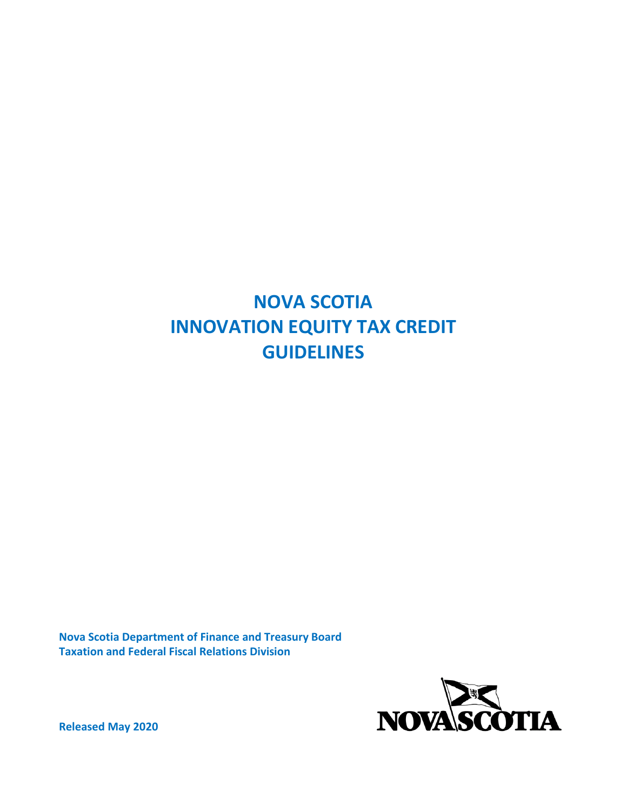# **NOVA SCOTIA INNOVATION EQUITY TAX CREDIT GUIDELINES**

**Nova Scotia Department of Finance and Treasury Board Taxation and Federal Fiscal Relations Division**



**Released May 2020**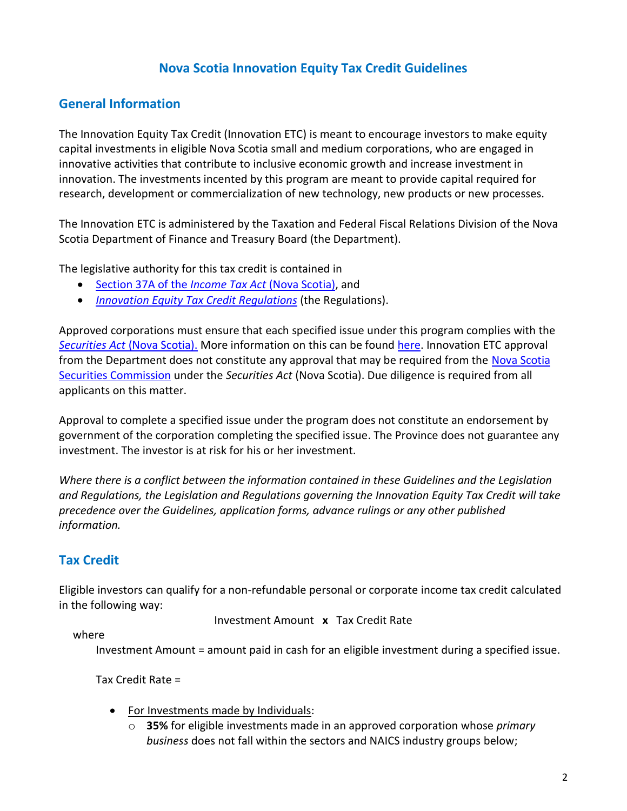## **Nova Scotia Innovation Equity Tax Credit Guidelines**

#### **General Information**

The Innovation Equity Tax Credit (Innovation ETC) is meant to encourage investors to make equity capital investments in eligible Nova Scotia small and medium corporations, who are engaged in innovative activities that contribute to inclusive economic growth and increase investment in innovation. The investments incented by this program are meant to provide capital required for research, development or commercialization of new technology, new products or new processes.

The Innovation ETC is administered by the Taxation and Federal Fiscal Relations Division of the Nova Scotia Department of Finance and Treasury Board (the Department).

The legislative authority for this tax credit is contained in

- Section 37A of the *[Income Tax Act](http://nslegislature.ca/legc/statutes/income%20tax.pdf)* (Nova Scotia), and
- *[Innovation Equity Tax Credit Regulations](https://novascotia.ca/just/regulations/regs/incinnovation.htm)* (the Regulations).

Approved corporations must ensure that each specified issue under this program complies with the *Securities Act* [\(Nova Scotia\).](http://nssc.novascotia.ca/securities-law-policy/legislation/securities-act) More information on this can be found [here.](https://nssc.novascotia.ca/sites/default/files/NSSC-Private-Placements-Markets-Handbook-May-Final.pdf) Innovation ETC approval from the Department does not constitute any approval that may be required from the Nova Scotia [Securities Commission](https://nssc.novascotia.ca/contact-us) under the *Securities Act* (Nova Scotia). Due diligence is required from all applicants on this matter.

Approval to complete a specified issue under the program does not constitute an endorsement by government of the corporation completing the specified issue. The Province does not guarantee any investment. The investor is at risk for his or her investment.

*Where there is a conflict between the information contained in these Guidelines and the Legislation and Regulations, the Legislation and Regulations governing the Innovation Equity Tax Credit will take precedence over the Guidelines, application forms, advance rulings or any other published information.*

#### **Tax Credit**

Eligible investors can qualify for a non-refundable personal or corporate income tax credit calculated in the following way:

Investment Amount **x** Tax Credit Rate

where

Investment Amount = amount paid in cash for an eligible investment during a specified issue.

Tax Credit Rate =

- For Investments made by Individuals:
	- o **35%** for eligible investments made in an approved corporation whose *primary business* does not fall within the sectors and NAICS industry groups below;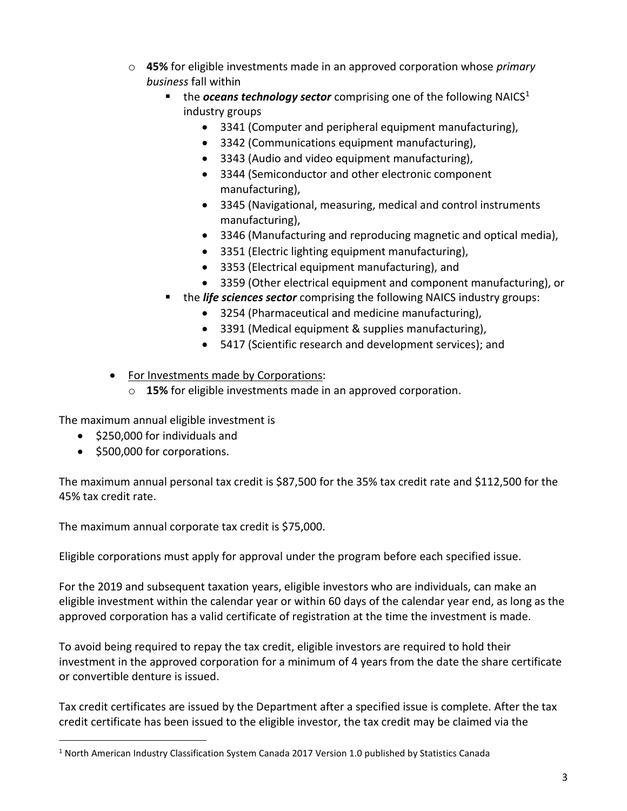- o **45%** for eligible investments made in an approved corporation whose *primary business* fall within
	- the *oceans technology sector* comprising one of the following  $NAICS<sup>1</sup>$ industry groups
		- 3341 (Computer and peripheral equipment manufacturing),
		- 3342 (Communications equipment manufacturing),
		- 3343 (Audio and video equipment manufacturing),
		- 3344 (Semiconductor and other electronic component manufacturing),
		- 3345 (Navigational, measuring, medical and control instruments manufacturing),
		- 3346 (Manufacturing and reproducing magnetic and optical media),
		- 3351 (Electric lighting equipment manufacturing),
		- 3353 (Electrical equipment manufacturing), and
		- 3359 (Other electrical equipment and component manufacturing), or
	- the *life sciences sector* comprising the following NAICS industry groups:
		- 3254 (Pharmaceutical and medicine manufacturing),
		- 3391 (Medical equipment & supplies manufacturing),
		- 5417 (Scientific research and development services); and

• For Investments made by Corporations:

o **15%** for eligible investments made in an approved corporation.

The maximum annual eligible investment is

- \$250,000 for individuals and
- \$500,000 for corporations.

The maximum annual personal tax credit is \$87,500 for the 35% tax credit rate and \$112,500 for the 45% tax credit rate.

The maximum annual corporate tax credit is \$75,000.

Eligible corporations must apply for approval under the program before each specified issue.

For the 2019 and subsequent taxation years, eligible investors who are individuals, can make an eligible investment within the calendar year or within 60 days of the calendar year end, as long as the approved corporation has a valid certificate of registration at the time the investment is made.

To avoid being required to repay the tax credit, eligible investors are required to hold their investment in the approved corporation for a minimum of 4 years from the date the share certificate or convertible denture is issued.

Tax credit certificates are issued by the Department after a specified issue is complete. After the tax credit certificate has been issued to the eligible investor, the tax credit may be claimed via the

<sup>&</sup>lt;sup>1</sup> North American Industry Classification System Canada 2017 Version 1.0 published by Statistics Canada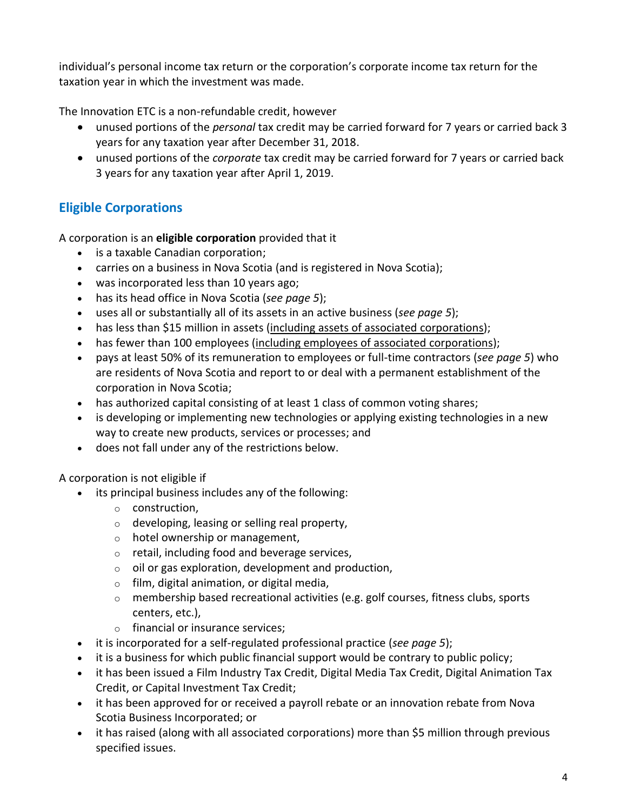individual's personal income tax return or the corporation's corporate income tax return for the taxation year in which the investment was made.

The Innovation ETC is a non-refundable credit, however

- unused portions of the *personal* tax credit may be carried forward for 7 years or carried back 3 years for any taxation year after December 31, 2018.
- unused portions of the *corporate* tax credit may be carried forward for 7 years or carried back 3 years for any taxation year after April 1, 2019.

# **Eligible Corporations**

A corporation is an **eligible corporation** provided that it

- is a taxable Canadian corporation;
- carries on a business in Nova Scotia (and is registered in Nova Scotia);
- was incorporated less than 10 years ago;
- has its head office in Nova Scotia (*see page 5*);
- uses all or substantially all of its assets in an active business (*see page 5*);
- has less than \$15 million in assets (including assets of associated corporations);
- has fewer than 100 employees (including employees of associated corporations);
- pays at least 50% of its remuneration to employees or full-time contractors (*see page 5*) who are residents of Nova Scotia and report to or deal with a permanent establishment of the corporation in Nova Scotia;
- has authorized capital consisting of at least 1 class of common voting shares;
- is developing or implementing new technologies or applying existing technologies in a new way to create new products, services or processes; and
- does not fall under any of the restrictions below.

A corporation is not eligible if

- its principal business includes any of the following:
	- o construction,
	- o developing, leasing or selling real property,
	- $\circ$  hotel ownership or management,
	- o retail, including food and beverage services,
	- $\circ$  oil or gas exploration, development and production,
	- $\circ$  film, digital animation, or digital media,
	- $\circ$  membership based recreational activities (e.g. golf courses, fitness clubs, sports centers, etc.),
	- o financial or insurance services;
- it is incorporated for a self-regulated professional practice (*see page 5*);
- it is a business for which public financial support would be contrary to public policy;
- it has been issued a Film Industry Tax Credit, Digital Media Tax Credit, Digital Animation Tax Credit, or Capital Investment Tax Credit;
- it has been approved for or received a payroll rebate or an innovation rebate from Nova Scotia Business Incorporated; or
- it has raised (along with all associated corporations) more than \$5 million through previous specified issues.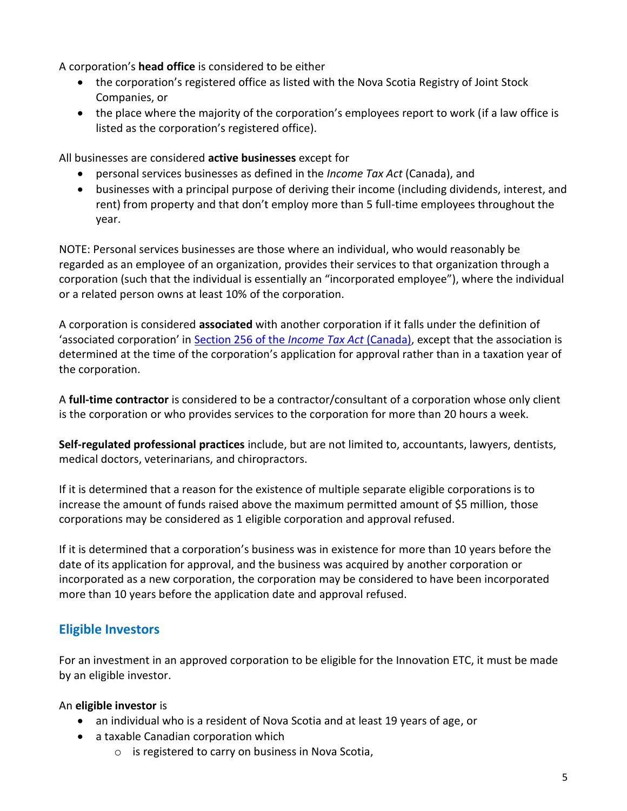A corporation's **head office** is considered to be either

- the corporation's registered office as listed with the Nova Scotia Registry of Joint Stock Companies, or
- the place where the majority of the corporation's employees report to work (if a law office is listed as the corporation's registered office).

All businesses are considered **active businesses** except for

- personal services businesses as defined in the *Income Tax Act* (Canada), and
- businesses with a principal purpose of deriving their income (including dividends, interest, and rent) from property and that don't employ more than 5 full-time employees throughout the year.

NOTE: Personal services businesses are those where an individual, who would reasonably be regarded as an employee of an organization, provides their services to that organization through a corporation (such that the individual is essentially an "incorporated employee"), where the individual or a related person owns at least 10% of the corporation.

A corporation is considered **associated** with another corporation if it falls under the definition of 'associated corporation' in [Section 256 of the](https://laws-lois.justice.gc.ca/eng/acts/I-3.3/page-272.html#docCont) *Income Tax Act* (Canada), except that the association is determined at the time of the corporation's application for approval rather than in a taxation year of the corporation.

A **full-time contractor** is considered to be a contractor/consultant of a corporation whose only client is the corporation or who provides services to the corporation for more than 20 hours a week.

**Self-regulated professional practices** include, but are not limited to, accountants, lawyers, dentists, medical doctors, veterinarians, and chiropractors.

If it is determined that a reason for the existence of multiple separate eligible corporations is to increase the amount of funds raised above the maximum permitted amount of \$5 million, those corporations may be considered as 1 eligible corporation and approval refused.

If it is determined that a corporation's business was in existence for more than 10 years before the date of its application for approval, and the business was acquired by another corporation or incorporated as a new corporation, the corporation may be considered to have been incorporated more than 10 years before the application date and approval refused.

# **Eligible Investors**

For an investment in an approved corporation to be eligible for the Innovation ETC, it must be made by an eligible investor.

#### An **eligible investor** is

- an individual who is a resident of Nova Scotia and at least 19 years of age, or
- a taxable Canadian corporation which
	- o is registered to carry on business in Nova Scotia,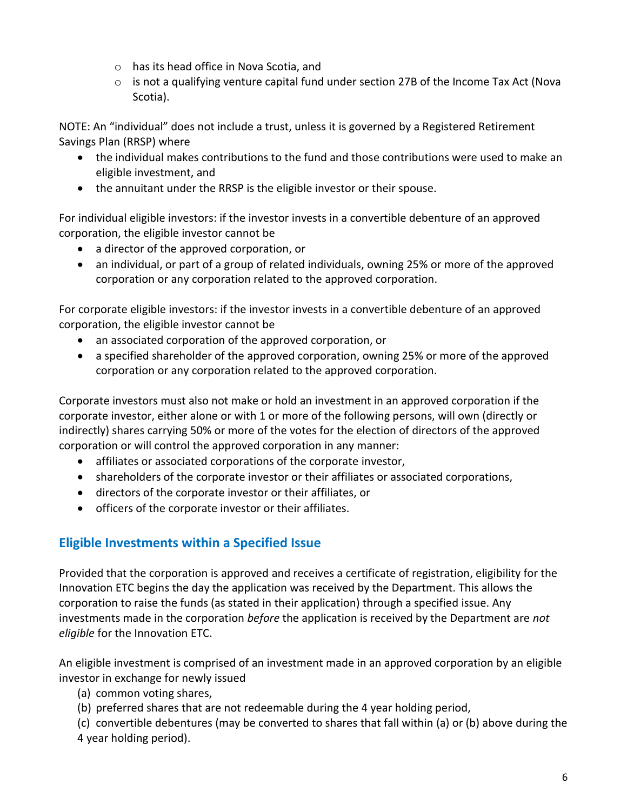- o has its head office in Nova Scotia, and
- $\circ$  is not a qualifying venture capital fund under section 27B of the Income Tax Act (Nova Scotia).

NOTE: An "individual" does not include a trust, unless it is governed by a Registered Retirement Savings Plan (RRSP) where

- the individual makes contributions to the fund and those contributions were used to make an eligible investment, and
- the annuitant under the RRSP is the eligible investor or their spouse.

For individual eligible investors: if the investor invests in a convertible debenture of an approved corporation, the eligible investor cannot be

- a director of the approved corporation, or
- an individual, or part of a group of related individuals, owning 25% or more of the approved corporation or any corporation related to the approved corporation.

For corporate eligible investors: if the investor invests in a convertible debenture of an approved corporation, the eligible investor cannot be

- an associated corporation of the approved corporation, or
- a specified shareholder of the approved corporation, owning 25% or more of the approved corporation or any corporation related to the approved corporation.

Corporate investors must also not make or hold an investment in an approved corporation if the corporate investor, either alone or with 1 or more of the following persons, will own (directly or indirectly) shares carrying 50% or more of the votes for the election of directors of the approved corporation or will control the approved corporation in any manner:

- affiliates or associated corporations of the corporate investor,
- shareholders of the corporate investor or their affiliates or associated corporations,
- directors of the corporate investor or their affiliates, or
- officers of the corporate investor or their affiliates.

#### **Eligible Investments within a Specified Issue**

Provided that the corporation is approved and receives a certificate of registration, eligibility for the Innovation ETC begins the day the application was received by the Department. This allows the corporation to raise the funds (as stated in their application) through a specified issue. Any investments made in the corporation *before* the application is received by the Department are *not eligible* for the Innovation ETC.

An eligible investment is comprised of an investment made in an approved corporation by an eligible investor in exchange for newly issued

- (a) common voting shares,
- (b) preferred shares that are not redeemable during the 4 year holding period,

(c) convertible debentures (may be converted to shares that fall within (a) or (b) above during the 4 year holding period).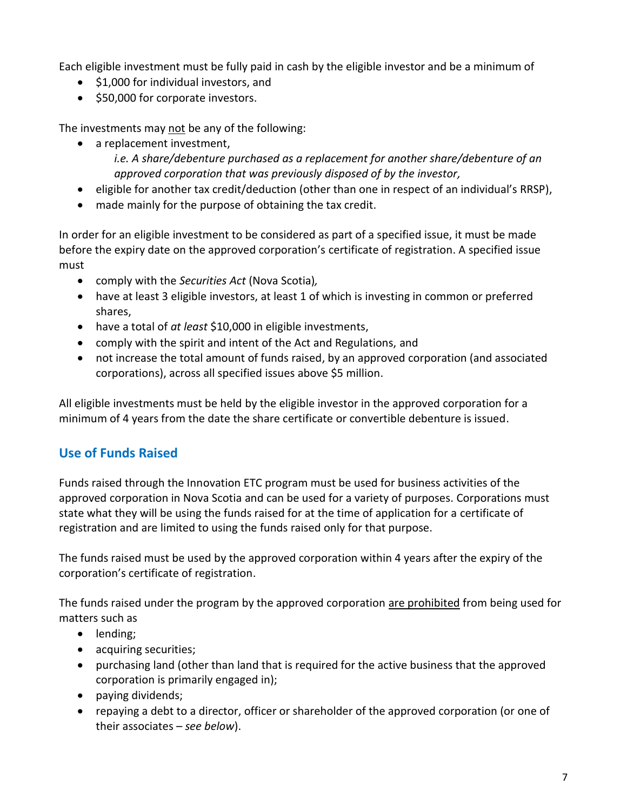Each eligible investment must be fully paid in cash by the eligible investor and be a minimum of

- \$1,000 for individual investors, and
- \$50,000 for corporate investors.

The investments may not be any of the following:

• a replacement investment,

*i.e. A share/debenture purchased as a replacement for another share/debenture of an approved corporation that was previously disposed of by the investor,*

- eligible for another tax credit/deduction (other than one in respect of an individual's RRSP),
- made mainly for the purpose of obtaining the tax credit.

In order for an eligible investment to be considered as part of a specified issue, it must be made before the expiry date on the approved corporation's certificate of registration. A specified issue must

- comply with the *Securities Act* (Nova Scotia)*,*
- have at least 3 eligible investors, at least 1 of which is investing in common or preferred shares,
- have a total of *at least* \$10,000 in eligible investments,
- comply with the spirit and intent of the Act and Regulations, and
- not increase the total amount of funds raised, by an approved corporation (and associated corporations), across all specified issues above \$5 million.

All eligible investments must be held by the eligible investor in the approved corporation for a minimum of 4 years from the date the share certificate or convertible debenture is issued.

# **Use of Funds Raised**

Funds raised through the Innovation ETC program must be used for business activities of the approved corporation in Nova Scotia and can be used for a variety of purposes. Corporations must state what they will be using the funds raised for at the time of application for a certificate of registration and are limited to using the funds raised only for that purpose.

The funds raised must be used by the approved corporation within 4 years after the expiry of the corporation's certificate of registration.

The funds raised under the program by the approved corporation are prohibited from being used for matters such as

- lending;
- acquiring securities;
- purchasing land (other than land that is required for the active business that the approved corporation is primarily engaged in);
- paying dividends;
- repaying a debt to a director, officer or shareholder of the approved corporation (or one of their associates – *see below*).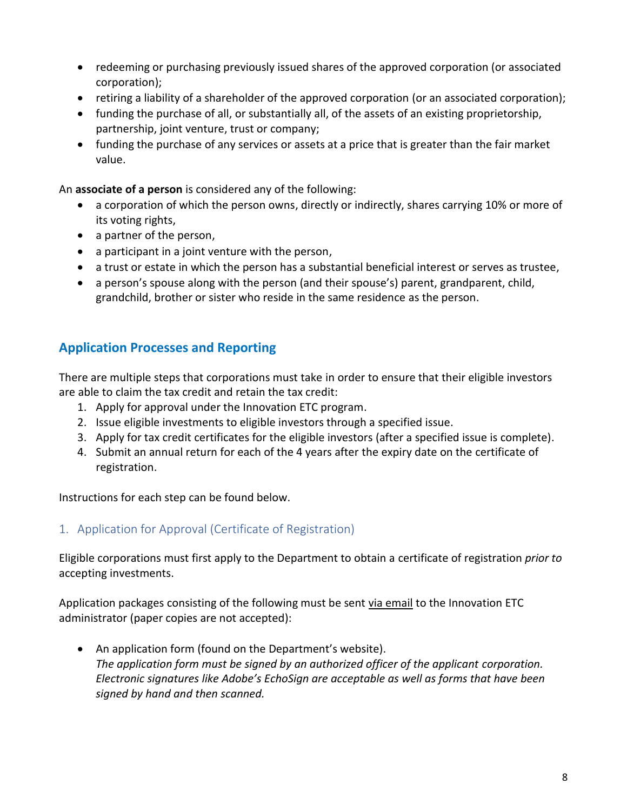- redeeming or purchasing previously issued shares of the approved corporation (or associated corporation);
- retiring a liability of a shareholder of the approved corporation (or an associated corporation);
- funding the purchase of all, or substantially all, of the assets of an existing proprietorship, partnership, joint venture, trust or company;
- funding the purchase of any services or assets at a price that is greater than the fair market value.

An **associate of a person** is considered any of the following:

- a corporation of which the person owns, directly or indirectly, shares carrying 10% or more of its voting rights,
- a partner of the person,
- a participant in a joint venture with the person,
- a trust or estate in which the person has a substantial beneficial interest or serves as trustee,
- a person's spouse along with the person (and their spouse's) parent, grandparent, child, grandchild, brother or sister who reside in the same residence as the person.

## **Application Processes and Reporting**

There are multiple steps that corporations must take in order to ensure that their eligible investors are able to claim the tax credit and retain the tax credit:

- 1. Apply for approval under the Innovation ETC program.
- 2. Issue eligible investments to eligible investors through a specified issue.
- 3. Apply for tax credit certificates for the eligible investors (after a specified issue is complete).
- 4. Submit an annual return for each of the 4 years after the expiry date on the certificate of registration.

Instructions for each step can be found below.

#### 1. Application for Approval (Certificate of Registration)

Eligible corporations must first apply to the Department to obtain a certificate of registration *prior to* accepting investments.

Application packages consisting of the following must be sent via email to the Innovation ETC administrator (paper copies are not accepted):

• An application form (found on the Department's website). *The application form must be signed by an authorized officer of the applicant corporation. Electronic signatures like Adobe's EchoSign are acceptable as well as forms that have been signed by hand and then scanned.*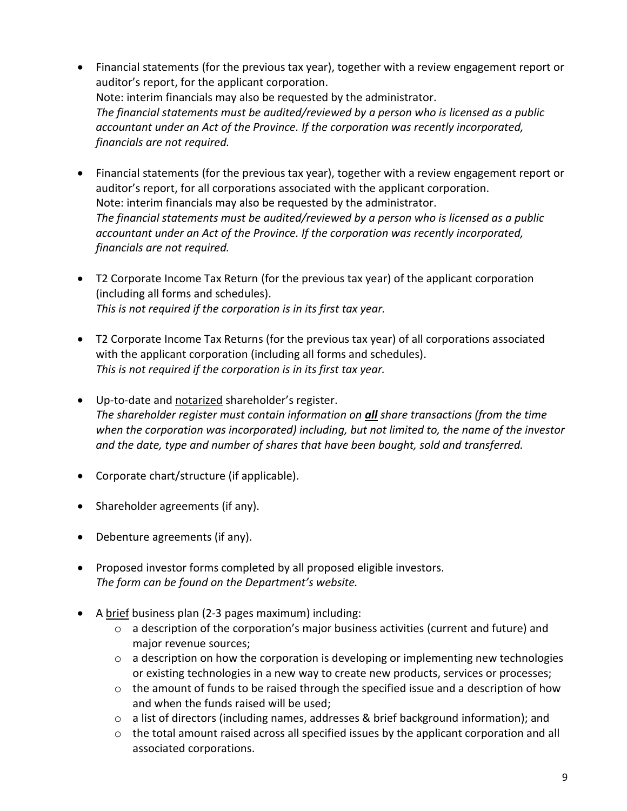- Financial statements (for the previous tax year), together with a review engagement report or auditor's report, for the applicant corporation. Note: interim financials may also be requested by the administrator. *The financial statements must be audited/reviewed by a person who is licensed as a public accountant under an Act of the Province. If the corporation was recently incorporated, financials are not required.*
- Financial statements (for the previous tax year), together with a review engagement report or auditor's report, for all corporations associated with the applicant corporation. Note: interim financials may also be requested by the administrator. *The financial statements must be audited/reviewed by a person who is licensed as a public accountant under an Act of the Province. If the corporation was recently incorporated, financials are not required.*
- T2 Corporate Income Tax Return (for the previous tax year) of the applicant corporation (including all forms and schedules). *This is not required if the corporation is in its first tax year.*
- T2 Corporate Income Tax Returns (for the previous tax year) of all corporations associated with the applicant corporation (including all forms and schedules). *This is not required if the corporation is in its first tax year.*
- Up-to-date and notarized shareholder's register. *The shareholder register must contain information on all share transactions (from the time when the corporation was incorporated) including, but not limited to, the name of the investor and the date, type and number of shares that have been bought, sold and transferred.*
- Corporate chart/structure (if applicable).
- Shareholder agreements (if any).
- Debenture agreements (if any).
- Proposed investor forms completed by all proposed eligible investors. *The form can be found on the Department's website.*
- A brief business plan (2-3 pages maximum) including:
	- o a description of the corporation's major business activities (current and future) and major revenue sources;
	- o a description on how the corporation is developing or implementing new technologies or existing technologies in a new way to create new products, services or processes;
	- o the amount of funds to be raised through the specified issue and a description of how and when the funds raised will be used;
	- $\circ$  a list of directors (including names, addresses & brief background information); and
	- $\circ$  the total amount raised across all specified issues by the applicant corporation and all associated corporations.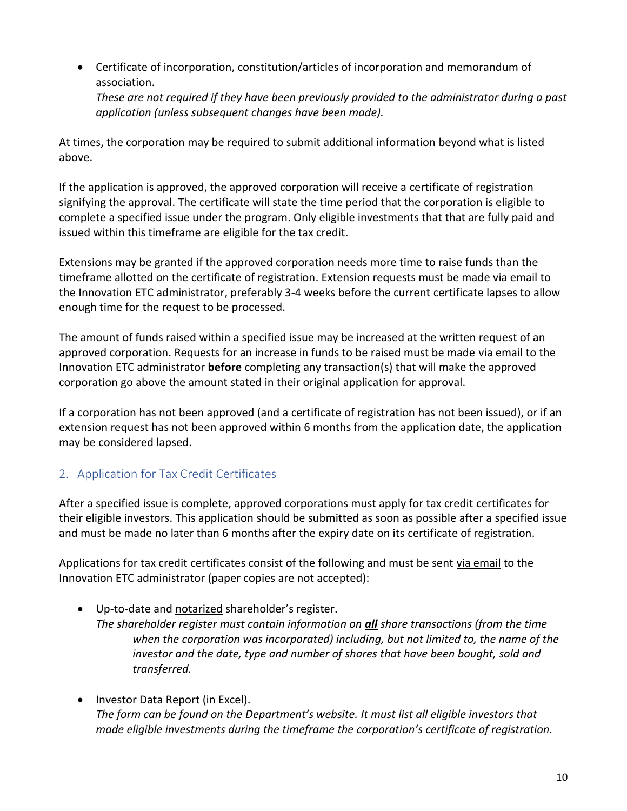• Certificate of incorporation, constitution/articles of incorporation and memorandum of association. *These are not required if they have been previously provided to the administrator during a past application (unless subsequent changes have been made).*

At times, the corporation may be required to submit additional information beyond what is listed above.

If the application is approved, the approved corporation will receive a certificate of registration signifying the approval. The certificate will state the time period that the corporation is eligible to complete a specified issue under the program. Only eligible investments that that are fully paid and issued within this timeframe are eligible for the tax credit.

Extensions may be granted if the approved corporation needs more time to raise funds than the timeframe allotted on the certificate of registration. Extension requests must be made via email to the Innovation ETC administrator, preferably 3-4 weeks before the current certificate lapses to allow enough time for the request to be processed.

The amount of funds raised within a specified issue may be increased at the written request of an approved corporation. Requests for an increase in funds to be raised must be made via email to the Innovation ETC administrator **before** completing any transaction(s) that will make the approved corporation go above the amount stated in their original application for approval.

If a corporation has not been approved (and a certificate of registration has not been issued), or if an extension request has not been approved within 6 months from the application date, the application may be considered lapsed.

## 2. Application for Tax Credit Certificates

After a specified issue is complete, approved corporations must apply for tax credit certificates for their eligible investors. This application should be submitted as soon as possible after a specified issue and must be made no later than 6 months after the expiry date on its certificate of registration.

Applications for tax credit certificates consist of the following and must be sent via email to the Innovation ETC administrator (paper copies are not accepted):

- Up-to-date and notarized shareholder's register. *The shareholder register must contain information on all share transactions (from the time*  when the corporation was incorporated) including, but not limited to, the name of the *investor and the date, type and number of shares that have been bought, sold and transferred.*
- Investor Data Report (in Excel). *The form can be found on the Department's website. It must list all eligible investors that made eligible investments during the timeframe the corporation's certificate of registration.*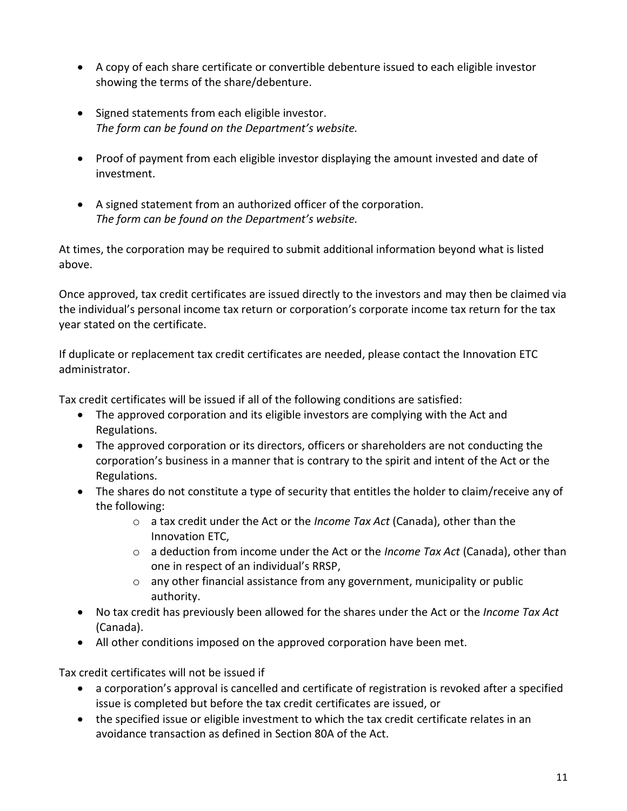- A copy of each share certificate or convertible debenture issued to each eligible investor showing the terms of the share/debenture.
- Signed statements from each eligible investor. *The form can be found on the Department's website.*
- Proof of payment from each eligible investor displaying the amount invested and date of investment.
- A signed statement from an authorized officer of the corporation. *The form can be found on the Department's website.*

At times, the corporation may be required to submit additional information beyond what is listed above.

Once approved, tax credit certificates are issued directly to the investors and may then be claimed via the individual's personal income tax return or corporation's corporate income tax return for the tax year stated on the certificate.

If duplicate or replacement tax credit certificates are needed, please contact the Innovation ETC administrator.

Tax credit certificates will be issued if all of the following conditions are satisfied:

- The approved corporation and its eligible investors are complying with the Act and Regulations.
- The approved corporation or its directors, officers or shareholders are not conducting the corporation's business in a manner that is contrary to the spirit and intent of the Act or the Regulations.
- The shares do not constitute a type of security that entitles the holder to claim/receive any of the following:
	- o a tax credit under the Act or the *Income Tax Act* (Canada), other than the Innovation ETC,
	- o a deduction from income under the Act or the *Income Tax Act* (Canada), other than one in respect of an individual's RRSP,
	- o any other financial assistance from any government, municipality or public authority.
- No tax credit has previously been allowed for the shares under the Act or the *Income Tax Act*  (Canada).
- All other conditions imposed on the approved corporation have been met.

Tax credit certificates will not be issued if

- a corporation's approval is cancelled and certificate of registration is revoked after a specified issue is completed but before the tax credit certificates are issued, or
- the specified issue or eligible investment to which the tax credit certificate relates in an avoidance transaction as defined in Section 80A of the Act.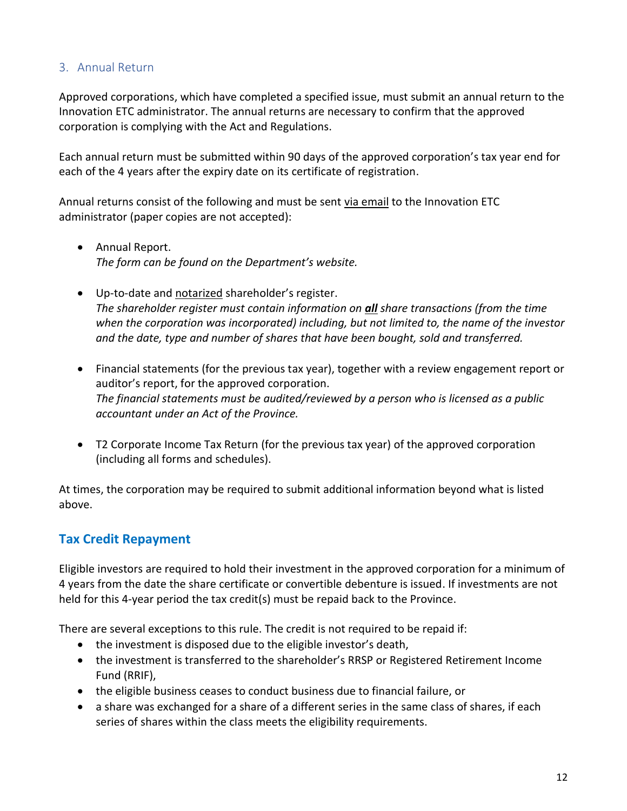#### 3. Annual Return

Approved corporations, which have completed a specified issue, must submit an annual return to the Innovation ETC administrator. The annual returns are necessary to confirm that the approved corporation is complying with the Act and Regulations.

Each annual return must be submitted within 90 days of the approved corporation's tax year end for each of the 4 years after the expiry date on its certificate of registration.

Annual returns consist of the following and must be sent via email to the Innovation ETC administrator (paper copies are not accepted):

- Annual Report. *The form can be found on the Department's website.*
- Up-to-date and notarized shareholder's register. *The shareholder register must contain information on all share transactions (from the time when the corporation was incorporated) including, but not limited to, the name of the investor and the date, type and number of shares that have been bought, sold and transferred.*
- Financial statements (for the previous tax year), together with a review engagement report or auditor's report, for the approved corporation. *The financial statements must be audited/reviewed by a person who is licensed as a public accountant under an Act of the Province.*
- T2 Corporate Income Tax Return (for the previous tax year) of the approved corporation (including all forms and schedules).

At times, the corporation may be required to submit additional information beyond what is listed above.

## **Tax Credit Repayment**

Eligible investors are required to hold their investment in the approved corporation for a minimum of 4 years from the date the share certificate or convertible debenture is issued. If investments are not held for this 4-year period the tax credit(s) must be repaid back to the Province.

There are several exceptions to this rule. The credit is not required to be repaid if:

- the investment is disposed due to the eligible investor's death,
- the investment is transferred to the shareholder's RRSP or Registered Retirement Income Fund (RRIF),
- the eligible business ceases to conduct business due to financial failure, or
- a share was exchanged for a share of a different series in the same class of shares, if each series of shares within the class meets the eligibility requirements.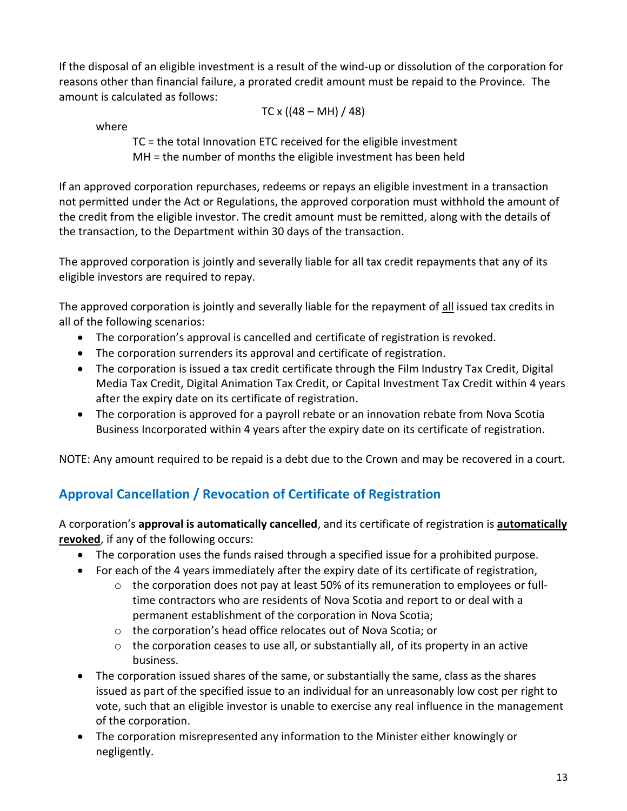If the disposal of an eligible investment is a result of the wind-up or dissolution of the corporation for reasons other than financial failure, a prorated credit amount must be repaid to the Province. The amount is calculated as follows:

TC x ((48 – MH) / 48)

where

TC = the total Innovation ETC received for the eligible investment MH = the number of months the eligible investment has been held

If an approved corporation repurchases, redeems or repays an eligible investment in a transaction not permitted under the Act or Regulations, the approved corporation must withhold the amount of the credit from the eligible investor. The credit amount must be remitted, along with the details of the transaction, to the Department within 30 days of the transaction.

The approved corporation is jointly and severally liable for all tax credit repayments that any of its eligible investors are required to repay.

The approved corporation is jointly and severally liable for the repayment of all issued tax credits in all of the following scenarios:

- The corporation's approval is cancelled and certificate of registration is revoked.
- The corporation surrenders its approval and certificate of registration.
- The corporation is issued a tax credit certificate through the Film Industry Tax Credit, Digital Media Tax Credit, Digital Animation Tax Credit, or Capital Investment Tax Credit within 4 years after the expiry date on its certificate of registration.
- The corporation is approved for a payroll rebate or an innovation rebate from Nova Scotia Business Incorporated within 4 years after the expiry date on its certificate of registration.

NOTE: Any amount required to be repaid is a debt due to the Crown and may be recovered in a court.

# **Approval Cancellation / Revocation of Certificate of Registration**

A corporation's **approval is automatically cancelled**, and its certificate of registration is **automatically revoked**, if any of the following occurs:

- The corporation uses the funds raised through a specified issue for a prohibited purpose.
- For each of the 4 years immediately after the expiry date of its certificate of registration,
	- o the corporation does not pay at least 50% of its remuneration to employees or fulltime contractors who are residents of Nova Scotia and report to or deal with a permanent establishment of the corporation in Nova Scotia;
	- o the corporation's head office relocates out of Nova Scotia; or
	- $\circ$  the corporation ceases to use all, or substantially all, of its property in an active business.
- The corporation issued shares of the same, or substantially the same, class as the shares issued as part of the specified issue to an individual for an unreasonably low cost per right to vote, such that an eligible investor is unable to exercise any real influence in the management of the corporation.
- The corporation misrepresented any information to the Minister either knowingly or negligently.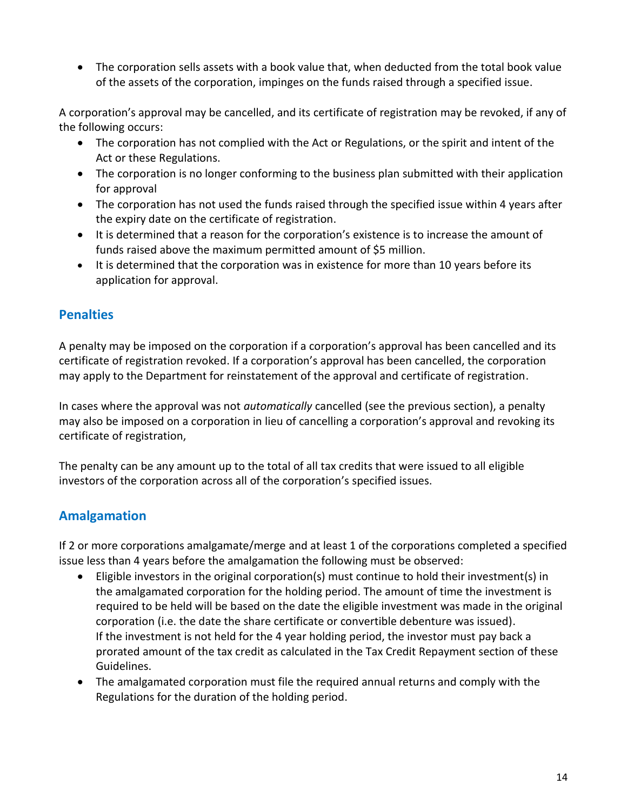• The corporation sells assets with a book value that, when deducted from the total book value of the assets of the corporation, impinges on the funds raised through a specified issue.

A corporation's approval may be cancelled, and its certificate of registration may be revoked, if any of the following occurs:

- The corporation has not complied with the Act or Regulations, or the spirit and intent of the Act or these Regulations.
- The corporation is no longer conforming to the business plan submitted with their application for approval
- The corporation has not used the funds raised through the specified issue within 4 years after the expiry date on the certificate of registration.
- It is determined that a reason for the corporation's existence is to increase the amount of funds raised above the maximum permitted amount of \$5 million.
- It is determined that the corporation was in existence for more than 10 years before its application for approval.

## **Penalties**

A penalty may be imposed on the corporation if a corporation's approval has been cancelled and its certificate of registration revoked. If a corporation's approval has been cancelled, the corporation may apply to the Department for reinstatement of the approval and certificate of registration.

In cases where the approval was not *automatically* cancelled (see the previous section), a penalty may also be imposed on a corporation in lieu of cancelling a corporation's approval and revoking its certificate of registration,

The penalty can be any amount up to the total of all tax credits that were issued to all eligible investors of the corporation across all of the corporation's specified issues.

## **Amalgamation**

If 2 or more corporations amalgamate/merge and at least 1 of the corporations completed a specified issue less than 4 years before the amalgamation the following must be observed:

- Eligible investors in the original corporation(s) must continue to hold their investment(s) in the amalgamated corporation for the holding period. The amount of time the investment is required to be held will be based on the date the eligible investment was made in the original corporation (i.e. the date the share certificate or convertible debenture was issued). If the investment is not held for the 4 year holding period, the investor must pay back a prorated amount of the tax credit as calculated in the Tax Credit Repayment section of these Guidelines.
- The amalgamated corporation must file the required annual returns and comply with the Regulations for the duration of the holding period.